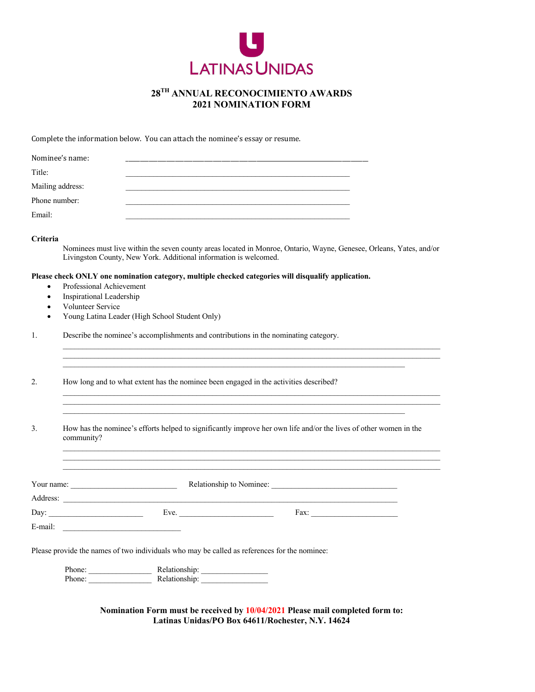

### **28TH ANNUAL RECONOCIMIENTO AWARDS 2021 NOMINATION FORM**

Complete the information below. You can attach the nominee's essay or resume.

| Nominee's name:  |  |  |
|------------------|--|--|
| Title:           |  |  |
| Mailing address: |  |  |
| Phone number:    |  |  |
| Email:           |  |  |

#### **Criteria**

Nominees must live within the seven county areas located in Monroe, Ontario, Wayne, Genesee, Orleans, Yates, and/or Livingston County, New York. Additional information is welcomed.

 $\mathcal{L}_\text{max}$ 

 $\mathcal{L}_\text{max}$ 

#### **Please check ONLY one nomination category, multiple checked categories will disqualify application.**

- Professional Achievement
- Inspirational Leadership
- Volunteer Service
- Young Latina Leader (High School Student Only)

1. Describe the nominee's accomplishments and contributions in the nominating category.

2. How long and to what extent has the nominee been engaged in the activities described?

3. How has the nominee's efforts helped to significantly improve her own life and/or the lives of other women in the community?

| Your name: |     | Relationship to Nominee: |                 |
|------------|-----|--------------------------|-----------------|
| Address:   |     |                          |                 |
| Day:       | Eve | Fax:                     | --------------- |
| E-mail:    |     |                          |                 |

Please provide the names of two individuals who may be called as references for the nominee:

| $\mathbf{D}$<br>∩ne<br>,,,,,, | Relationship  |
|-------------------------------|---------------|
| $\mathbf{D}$<br>∩n≏           | Relationship: |

**Nomination Form must be received by 10/04/2021 Please mail completed form to: Latinas Unidas/PO Box 64611/Rochester, N.Y. 14624**